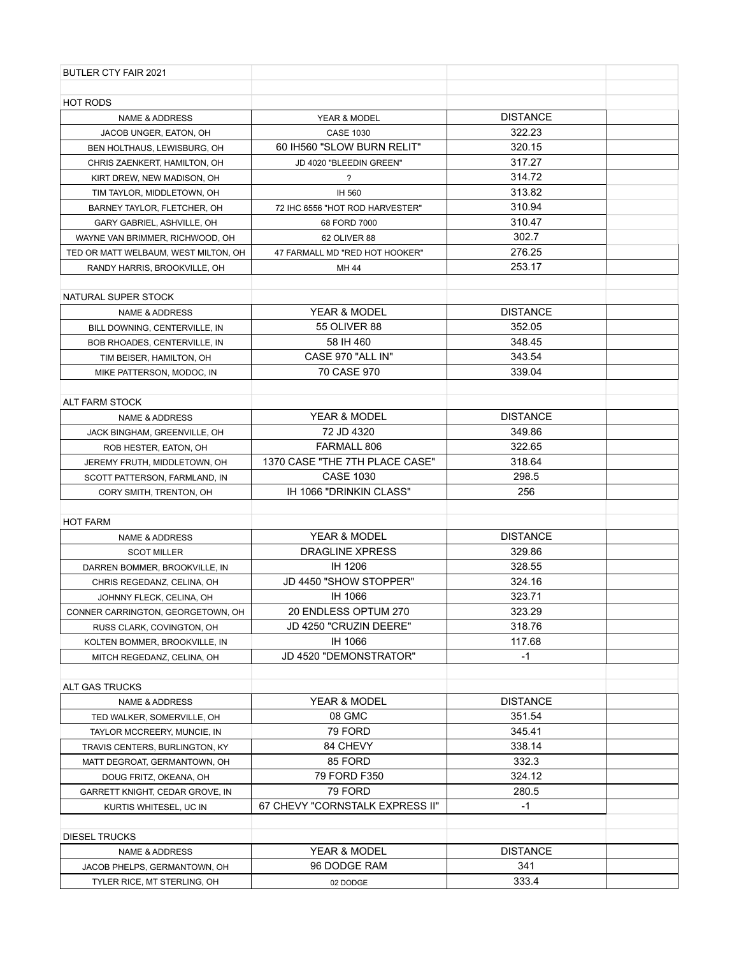| <b>BUTLER CTY FAIR 2021</b>          |                                 |                 |  |
|--------------------------------------|---------------------------------|-----------------|--|
|                                      |                                 |                 |  |
| <b>HOT RODS</b>                      |                                 |                 |  |
| <b>NAME &amp; ADDRESS</b>            | YEAR & MODEL                    | <b>DISTANCE</b> |  |
| JACOB UNGER, EATON, OH               | <b>CASE 1030</b>                | 322.23          |  |
| BEN HOLTHAUS, LEWISBURG, OH          | 60 IH560 "SLOW BURN RELIT"      | 320.15          |  |
| CHRIS ZAENKERT, HAMILTON, OH         | JD 4020 "BLEEDIN GREEN"         | 317.27          |  |
| KIRT DREW, NEW MADISON, OH           | $\overline{\phantom{a}}$        | 314.72          |  |
| TIM TAYLOR, MIDDLETOWN, OH           | IH 560                          | 313.82          |  |
| BARNEY TAYLOR, FLETCHER, OH          | 72 IHC 6556 "HOT ROD HARVESTER" | 310.94          |  |
| GARY GABRIEL, ASHVILLE, OH           | 68 FORD 7000                    | 310.47          |  |
| WAYNE VAN BRIMMER, RICHWOOD, OH      | 62 OLIVER 88                    | 302.7           |  |
| TED OR MATT WELBAUM, WEST MILTON, OH | 47 FARMALL MD "RED HOT HOOKER"  | 276.25          |  |
| RANDY HARRIS, BROOKVILLE, OH         | MH 44                           | 253.17          |  |
|                                      |                                 |                 |  |
| NATURAL SUPER STOCK                  |                                 |                 |  |
| <b>NAME &amp; ADDRESS</b>            | YEAR & MODEL                    | <b>DISTANCE</b> |  |
| BILL DOWNING, CENTERVILLE, IN        | <b>55 OLIVER 88</b>             | 352.05          |  |
| BOB RHOADES, CENTERVILLE, IN         | 58 IH 460                       | 348.45          |  |
| TIM BEISER, HAMILTON, OH             | CASE 970 "ALL IN"               | 343.54          |  |
| MIKE PATTERSON, MODOC, IN            | 70 CASE 970                     | 339.04          |  |
|                                      |                                 |                 |  |
| <b>ALT FARM STOCK</b>                |                                 |                 |  |
| <b>NAME &amp; ADDRESS</b>            | YEAR & MODEL                    | <b>DISTANCE</b> |  |
| JACK BINGHAM, GREENVILLE, OH         | 72 JD 4320                      | 349.86          |  |
| ROB HESTER, EATON, OH                | FARMALL 806                     | 322.65          |  |
| JEREMY FRUTH, MIDDLETOWN, OH         | 1370 CASE "THE 7TH PLACE CASE"  | 318.64          |  |
| SCOTT PATTERSON, FARMLAND, IN        | <b>CASE 1030</b>                | 298.5           |  |
| CORY SMITH, TRENTON, OH              | IH 1066 "DRINKIN CLASS"         | 256             |  |
|                                      |                                 |                 |  |
| <b>HOT FARM</b>                      |                                 |                 |  |
| <b>NAME &amp; ADDRESS</b>            | YEAR & MODEL                    | <b>DISTANCE</b> |  |
| <b>SCOT MILLER</b>                   | <b>DRAGLINE XPRESS</b>          | 329.86          |  |
| DARREN BOMMER, BROOKVILLE, IN        | IH 1206                         | 328.55          |  |
| CHRIS REGEDANZ, CELINA, OH           | JD 4450 "SHOW STOPPER"          | 324.16          |  |
| JOHNNY FLECK, CELINA, OH             | IH 1066                         | 323.71          |  |
| CONNER CARRINGTON, GEORGETOWN, OH    | 20 ENDLESS OPTUM 270            | 323.29          |  |
| RUSS CLARK, COVINGTON, OH            | JD 4250 "CRUZIN DEERE"          | 318.76          |  |
| KOLTEN BOMMER, BROOKVILLE, IN        | IH 1066                         | 117.68          |  |
| MITCH REGEDANZ, CELINA, OH           | JD 4520 "DEMONSTRATOR"          | -1              |  |
|                                      |                                 |                 |  |
| ALT GAS TRUCKS                       |                                 |                 |  |
| <b>NAME &amp; ADDRESS</b>            | YEAR & MODEL                    | <b>DISTANCE</b> |  |
| TED WALKER, SOMERVILLE, OH           | 08 GMC                          | 351.54          |  |
| TAYLOR MCCREERY, MUNCIE, IN          | 79 FORD                         | 345.41          |  |
| TRAVIS CENTERS, BURLINGTON, KY       | 84 CHEVY                        | 338.14          |  |
| MATT DEGROAT, GERMANTOWN, OH         | 85 FORD                         | 332.3           |  |
| DOUG FRITZ, OKEANA, OH               | 79 FORD F350                    | 324.12          |  |
| GARRETT KNIGHT, CEDAR GROVE, IN      | 79 FORD                         | 280.5           |  |
| KURTIS WHITESEL, UC IN               | 67 CHEVY "CORNSTALK EXPRESS II" | -1              |  |
|                                      |                                 |                 |  |
| <b>DIESEL TRUCKS</b>                 |                                 |                 |  |
| <b>NAME &amp; ADDRESS</b>            | YEAR & MODEL                    | <b>DISTANCE</b> |  |
| JACOB PHELPS, GERMANTOWN, OH         | 96 DODGE RAM                    | 341             |  |
| TYLER RICE, MT STERLING, OH          | 02 DODGE                        | 333.4           |  |